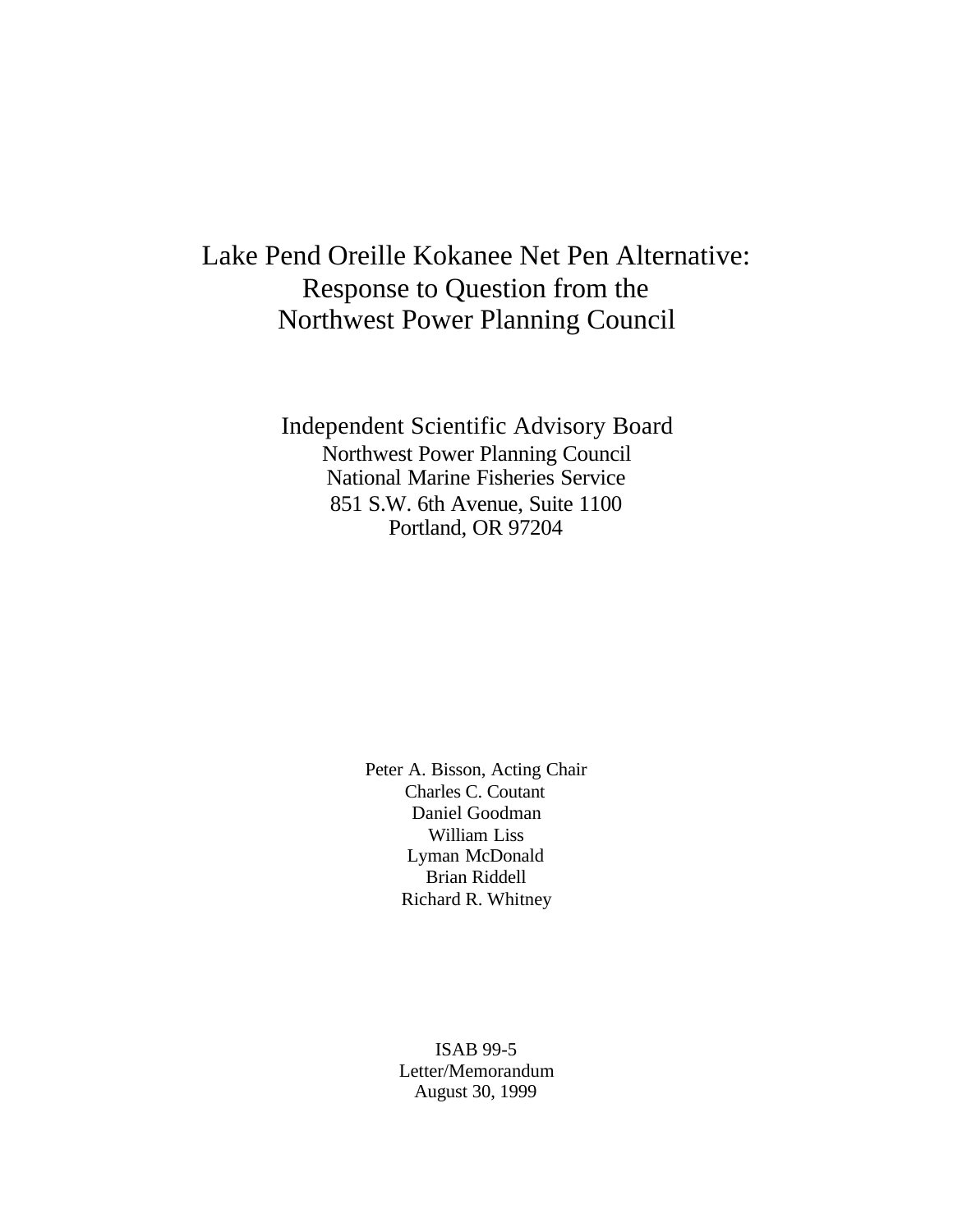## Lake Pend Oreille Kokanee Net Pen Alternative: Response to Question from the Northwest Power Planning Council

Independent Scientific Advisory Board Northwest Power Planning Council National Marine Fisheries Service 851 S.W. 6th Avenue, Suite 1100 Portland, OR 97204

> Peter A. Bisson, Acting Chair Charles C. Coutant Daniel Goodman William Liss Lyman McDonald Brian Riddell Richard R. Whitney

> > ISAB 99-5 Letter/Memorandum August 30, 1999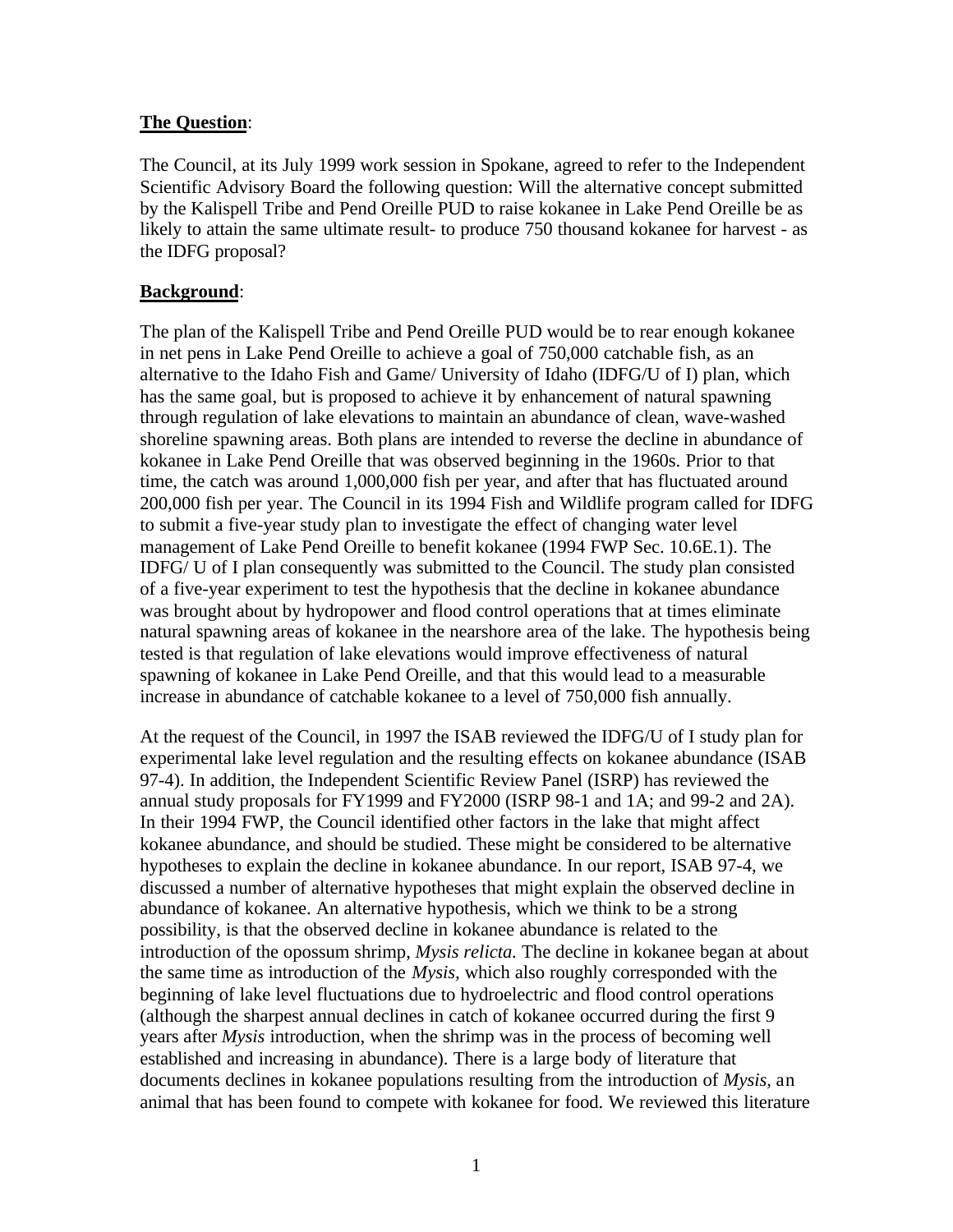## **The Question**:

The Council, at its July 1999 work session in Spokane, agreed to refer to the Independent Scientific Advisory Board the following question: Will the alternative concept submitted by the Kalispell Tribe and Pend Oreille PUD to raise kokanee in Lake Pend Oreille be as likely to attain the same ultimate result- to produce 750 thousand kokanee for harvest - as the IDFG proposal?

## **Background**:

The plan of the Kalispell Tribe and Pend Oreille PUD would be to rear enough kokanee in net pens in Lake Pend Oreille to achieve a goal of 750,000 catchable fish, as an alternative to the Idaho Fish and Game/ University of Idaho (IDFG/U of I) plan, which has the same goal, but is proposed to achieve it by enhancement of natural spawning through regulation of lake elevations to maintain an abundance of clean, wave-washed shoreline spawning areas. Both plans are intended to reverse the decline in abundance of kokanee in Lake Pend Oreille that was observed beginning in the 1960s. Prior to that time, the catch was around 1,000,000 fish per year, and after that has fluctuated around 200,000 fish per year. The Council in its 1994 Fish and Wildlife program called for IDFG to submit a five-year study plan to investigate the effect of changing water level management of Lake Pend Oreille to benefit kokanee (1994 FWP Sec. 10.6E.1). The IDFG/ U of I plan consequently was submitted to the Council. The study plan consisted of a five-year experiment to test the hypothesis that the decline in kokanee abundance was brought about by hydropower and flood control operations that at times eliminate natural spawning areas of kokanee in the nearshore area of the lake. The hypothesis being tested is that regulation of lake elevations would improve effectiveness of natural spawning of kokanee in Lake Pend Oreille, and that this would lead to a measurable increase in abundance of catchable kokanee to a level of 750,000 fish annually.

At the request of the Council, in 1997 the ISAB reviewed the IDFG/U of I study plan for experimental lake level regulation and the resulting effects on kokanee abundance (ISAB 97-4). In addition, the Independent Scientific Review Panel (ISRP) has reviewed the annual study proposals for FY1999 and FY2000 (ISRP 98-1 and 1A; and 99-2 and 2A). In their 1994 FWP, the Council identified other factors in the lake that might affect kokanee abundance, and should be studied. These might be considered to be alternative hypotheses to explain the decline in kokanee abundance. In our report, ISAB 97-4, we discussed a number of alternative hypotheses that might explain the observed decline in abundance of kokanee. An alternative hypothesis, which we think to be a strong possibility, is that the observed decline in kokanee abundance is related to the introduction of the opossum shrimp, *Mysis relicta.* The decline in kokanee began at about the same time as introduction of the *Mysis,* which also roughly corresponded with the beginning of lake level fluctuations due to hydroelectric and flood control operations (although the sharpest annual declines in catch of kokanee occurred during the first 9 years after *Mysis* introduction, when the shrimp was in the process of becoming well established and increasing in abundance). There is a large body of literature that documents declines in kokanee populations resulting from the introduction of *Mysis,* an animal that has been found to compete with kokanee for food. We reviewed this literature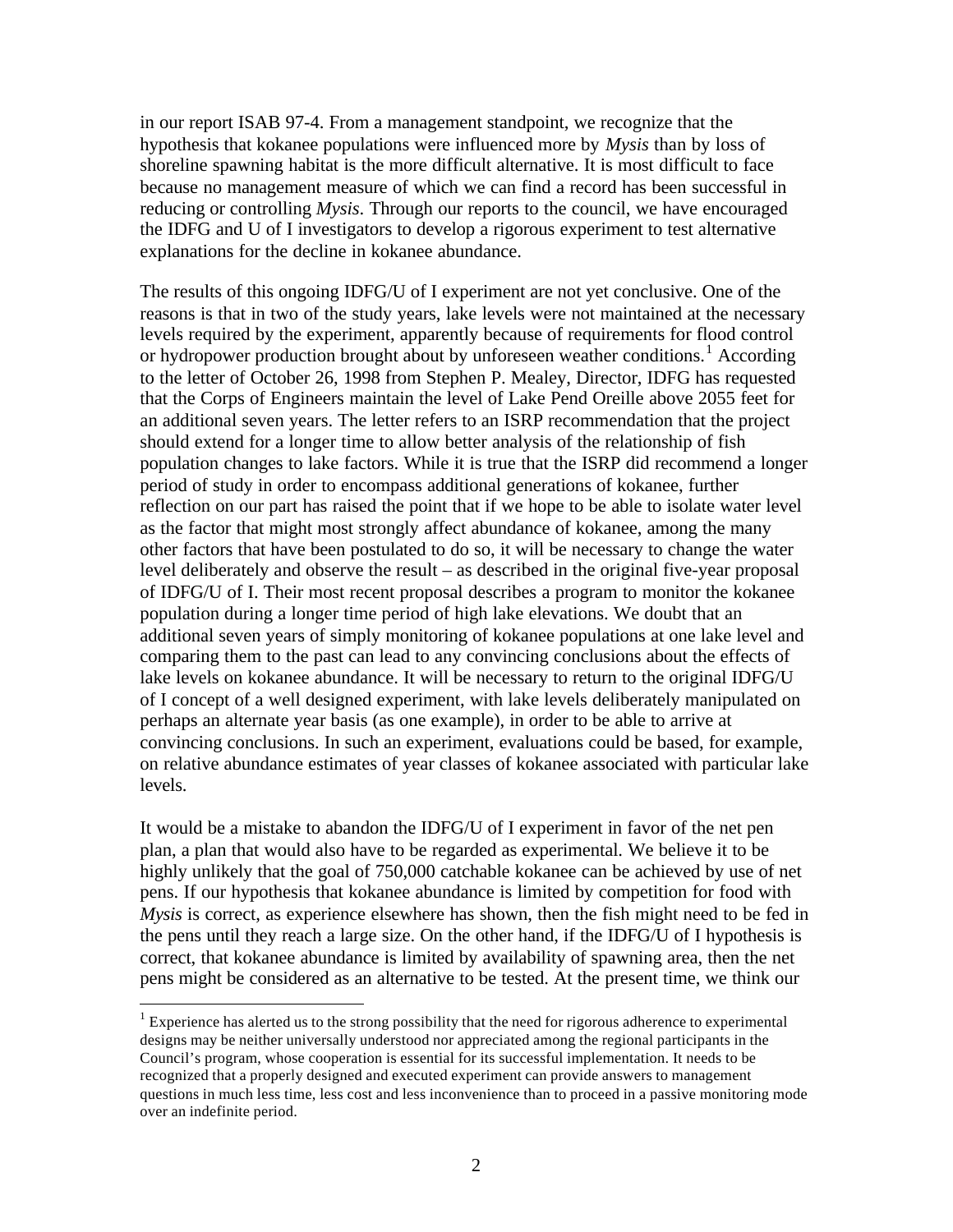in our report ISAB 97-4. From a management standpoint, we recognize that the hypothesis that kokanee populations were influenced more by *Mysis* than by loss of shoreline spawning habitat is the more difficult alternative. It is most difficult to face because no management measure of which we can find a record has been successful in reducing or controlling *Mysis*. Through our reports to the council, we have encouraged the IDFG and U of I investigators to develop a rigorous experiment to test alternative explanations for the decline in kokanee abundance.

The results of this ongoing IDFG/U of I experiment are not yet conclusive. One of the reasons is that in two of the study years, lake levels were not maintained at the necessary levels required by the experiment, apparently because of requirements for flood control or hydropower production brought about by unforeseen weather conditions.<sup>1</sup> According to the letter of October 26, 1998 from Stephen P. Mealey, Director, IDFG has requested that the Corps of Engineers maintain the level of Lake Pend Oreille above 2055 feet for an additional seven years. The letter refers to an ISRP recommendation that the project should extend for a longer time to allow better analysis of the relationship of fish population changes to lake factors. While it is true that the ISRP did recommend a longer period of study in order to encompass additional generations of kokanee, further reflection on our part has raised the point that if we hope to be able to isolate water level as the factor that might most strongly affect abundance of kokanee, among the many other factors that have been postulated to do so, it will be necessary to change the water level deliberately and observe the result – as described in the original five-year proposal of IDFG/U of I. Their most recent proposal describes a program to monitor the kokanee population during a longer time period of high lake elevations. We doubt that an additional seven years of simply monitoring of kokanee populations at one lake level and comparing them to the past can lead to any convincing conclusions about the effects of lake levels on kokanee abundance. It will be necessary to return to the original IDFG/U of I concept of a well designed experiment, with lake levels deliberately manipulated on perhaps an alternate year basis (as one example), in order to be able to arrive at convincing conclusions. In such an experiment, evaluations could be based, for example, on relative abundance estimates of year classes of kokanee associated with particular lake levels.

It would be a mistake to abandon the IDFG/U of I experiment in favor of the net pen plan, a plan that would also have to be regarded as experimental. We believe it to be highly unlikely that the goal of 750,000 catchable kokanee can be achieved by use of net pens. If our hypothesis that kokanee abundance is limited by competition for food with *Mysis* is correct, as experience elsewhere has shown, then the fish might need to be fed in the pens until they reach a large size. On the other hand, if the IDFG/U of I hypothesis is correct, that kokanee abundance is limited by availability of spawning area, then the net pens might be considered as an alternative to be tested. At the present time, we think our

 $\overline{a}$ 

 $1$  Experience has alerted us to the strong possibility that the need for rigorous adherence to experimental designs may be neither universally understood nor appreciated among the regional participants in the Council's program, whose cooperation is essential for its successful implementation. It needs to be recognized that a properly designed and executed experiment can provide answers to management questions in much less time, less cost and less inconvenience than to proceed in a passive monitoring mode over an indefinite period.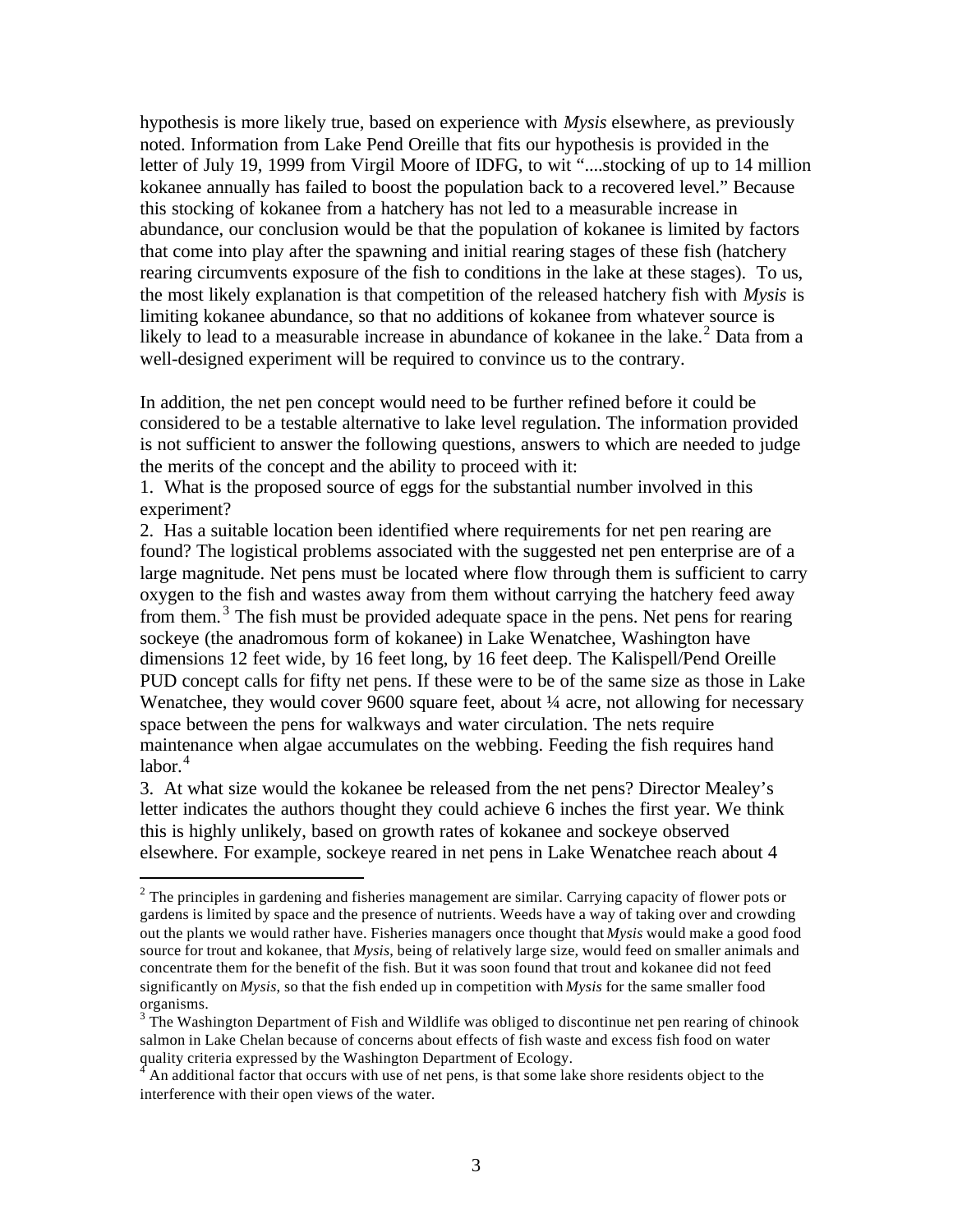hypothesis is more likely true, based on experience with *Mysis* elsewhere, as previously noted. Information from Lake Pend Oreille that fits our hypothesis is provided in the letter of July 19, 1999 from Virgil Moore of IDFG, to wit "....stocking of up to 14 million kokanee annually has failed to boost the population back to a recovered level." Because this stocking of kokanee from a hatchery has not led to a measurable increase in abundance, our conclusion would be that the population of kokanee is limited by factors that come into play after the spawning and initial rearing stages of these fish (hatchery rearing circumvents exposure of the fish to conditions in the lake at these stages). To us, the most likely explanation is that competition of the released hatchery fish with *Mysis* is limiting kokanee abundance, so that no additions of kokanee from whatever source is likely to lead to a measurable increase in abundance of kokanee in the lake.<sup>2</sup> Data from a well-designed experiment will be required to convince us to the contrary.

In addition, the net pen concept would need to be further refined before it could be considered to be a testable alternative to lake level regulation. The information provided is not sufficient to answer the following questions, answers to which are needed to judge the merits of the concept and the ability to proceed with it:

1. What is the proposed source of eggs for the substantial number involved in this experiment?

2. Has a suitable location been identified where requirements for net pen rearing are found? The logistical problems associated with the suggested net pen enterprise are of a large magnitude. Net pens must be located where flow through them is sufficient to carry oxygen to the fish and wastes away from them without carrying the hatchery feed away from them.<sup>3</sup> The fish must be provided adequate space in the pens. Net pens for rearing sockeye (the anadromous form of kokanee) in Lake Wenatchee, Washington have dimensions 12 feet wide, by 16 feet long, by 16 feet deep. The Kalispell/Pend Oreille PUD concept calls for fifty net pens. If these were to be of the same size as those in Lake Wenatchee, they would cover 9600 square feet, about  $\frac{1}{4}$  acre, not allowing for necessary space between the pens for walkways and water circulation. The nets require maintenance when algae accumulates on the webbing. Feeding the fish requires hand  $labor.<sup>4</sup>$ 

3. At what size would the kokanee be released from the net pens? Director Mealey's letter indicates the authors thought they could achieve 6 inches the first year. We think this is highly unlikely, based on growth rates of kokanee and sockeye observed elsewhere. For example, sockeye reared in net pens in Lake Wenatchee reach about 4

 $\overline{a}$ 

 $2$  The principles in gardening and fisheries management are similar. Carrying capacity of flower pots or gardens is limited by space and the presence of nutrients. Weeds have a way of taking over and crowding out the plants we would rather have. Fisheries managers once thought that *Mysis* would make a good food source for trout and kokanee, that *Mysis*, being of relatively large size, would feed on smaller animals and concentrate them for the benefit of the fish. But it was soon found that trout and kokanee did not feed significantly on *Mysis*, so that the fish ended up in competition with *Mysis* for the same smaller food organisms.

 $3$  The Washington Department of Fish and Wildlife was obliged to discontinue net pen rearing of chinook salmon in Lake Chelan because of concerns about effects of fish waste and excess fish food on water quality criteria expressed by the Washington Department of Ecology.<br><sup>4</sup> An edditional fector that exause with use of not none is that some la

An additional factor that occurs with use of net pens, is that some lake shore residents object to the interference with their open views of the water.